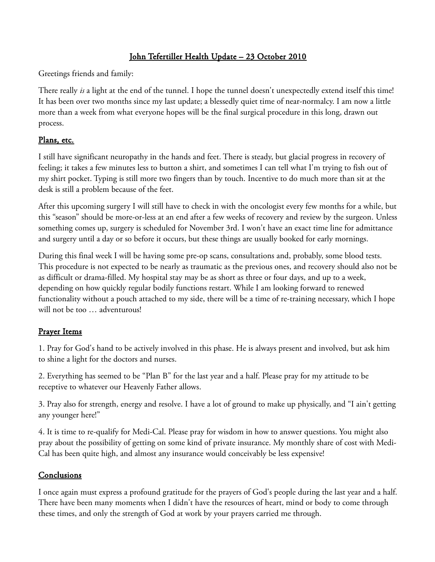## John Tefertiller Health Update – 23 October 2010

Greetings friends and family:

There really *is* a light at the end of the tunnel. I hope the tunnel doesn't unexpectedly extend itself this time! It has been over two months since my last update; a blessedly quiet time of near-normalcy. I am now a little more than a week from what everyone hopes will be the final surgical procedure in this long, drawn out process.

## Plans, etc.

I still have significant neuropathy in the hands and feet. There is steady, but glacial progress in recovery of feeling; it takes a few minutes less to button a shirt, and sometimes I can tell what I'm trying to fish out of my shirt pocket. Typing is still more two fingers than by touch. Incentive to do much more than sit at the desk is still a problem because of the feet.

After this upcoming surgery I will still have to check in with the oncologist every few months for a while, but this "season" should be more-or-less at an end after a few weeks of recovery and review by the surgeon. Unless something comes up, surgery is scheduled for November 3rd. I won't have an exact time line for admittance and surgery until a day or so before it occurs, but these things are usually booked for early mornings.

During this final week I will be having some pre-op scans, consultations and, probably, some blood tests. This procedure is not expected to be nearly as traumatic as the previous ones, and recovery should also not be as difficult or drama-filled. My hospital stay may be as short as three or four days, and up to a week, depending on how quickly regular bodily functions restart. While I am looking forward to renewed functionality without a pouch attached to my side, there will be a time of re-training necessary, which I hope will not be too … adventurous!

## Prayer Items

1. Pray for God's hand to be actively involved in this phase. He is always present and involved, but ask him to shine a light for the doctors and nurses.

2. Everything has seemed to be "Plan B" for the last year and a half. Please pray for my attitude to be receptive to whatever our Heavenly Father allows.

3. Pray also for strength, energy and resolve. I have a lot of ground to make up physically, and "I ain't getting any younger here!"

4. It is time to re-qualify for Medi-Cal. Please pray for wisdom in how to answer questions. You might also pray about the possibility of getting on some kind of private insurance. My monthly share of cost with Medi-Cal has been quite high, and almost any insurance would conceivably be less expensive!

## Conclusions

I once again must express a profound gratitude for the prayers of God's people during the last year and a half. There have been many moments when I didn't have the resources of heart, mind or body to come through these times, and only the strength of God at work by your prayers carried me through.